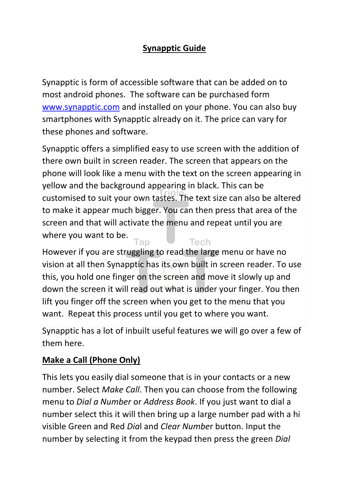### **Synapptic Guide**

Synapptic is form of accessible software that can be added on to most android phones. The software can be purchased form [www.synapptic.com](http://www.synapptic.com/) and installed on your phone. You can also buy smartphones with Synapptic already on it. The price can vary for these phones and software.

Synapptic offers a simplified easy to use screen with the addition of there own built in screen reader. The screen that appears on the phone will look like a menu with the text on the screen appearing in yellow and the background appearing in black. This can be customised to suit your own tastes. The text size can also be altered to make it appear much bigger. You can then press that area of the screen and that will activate the menu and repeat until you are where you want to be. **Tech** Tap

However if you are struggling to read the large menu or have no vision at all then Synapptic has its own built in screen reader. To use this, you hold one finger on the screen and move it slowly up and down the screen it will read out what is under your finger. You then lift you finger off the screen when you get to the menu that you want. Repeat this process until you get to where you want.

Synapptic has a lot of inbuilt useful features we will go over a few of them here.

#### **Make a Call (Phone Only)**

This lets you easily dial someone that is in your contacts or a new number. Select *Make Call*. Then you can choose from the following menu to *Dial a Number* or *Address Book*. If you just want to dial a number select this it will then bring up a large number pad with a hi visible Green and Red *Dia*l and *Clear Numbe*r button. Input the number by selecting it from the keypad then press the green *Dial*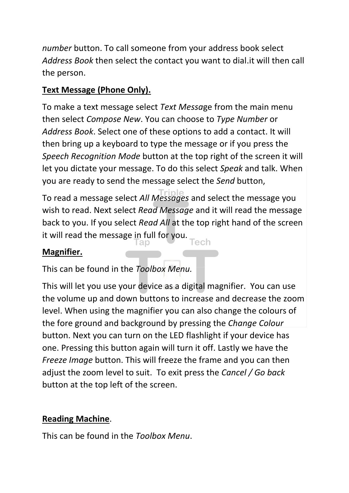*number* button. To call someone from your address book select *Address Book* then select the contact you want to dial.it will then call the person.

## **Text Message (Phone Only).**

To make a text message select *Text Messa*ge from the main menu then select *Compose New*. You can choose to *Type Number* or *Address Book*. Select one of these options to add a contact. It will then bring up a keyboard to type the message or if you press the *Speech Recognition Mode* button at the top right of the screen it will let you dictate your message. To do this select *Speak* and talk. When you are ready to send the message select the *Send* button,

To read a message select *All Messages* and select the message you wish to read. Next select *Read Message* and it will read the message back to you. If you select *Read All* at the top right hand of the screen it will read the message in full for you. Tech

#### **Magnifier.**

This can be found in the *Toolbox Menu.*

This will let you use your device as a digital magnifier. You can use the volume up and down buttons to increase and decrease the zoom level. When using the magnifier you can also change the colours of the fore ground and background by pressing the *Change Colour* button. Next you can turn on the LED flashlight if your device has one. Pressing this button again will turn it off. Lastly we have the *Freeze Image* button. This will freeze the frame and you can then adjust the zoom level to suit. To exit press the *Cancel / Go back*  button at the top left of the screen.

# **Reading Machine**.

This can be found in the *Toolbox Menu*.